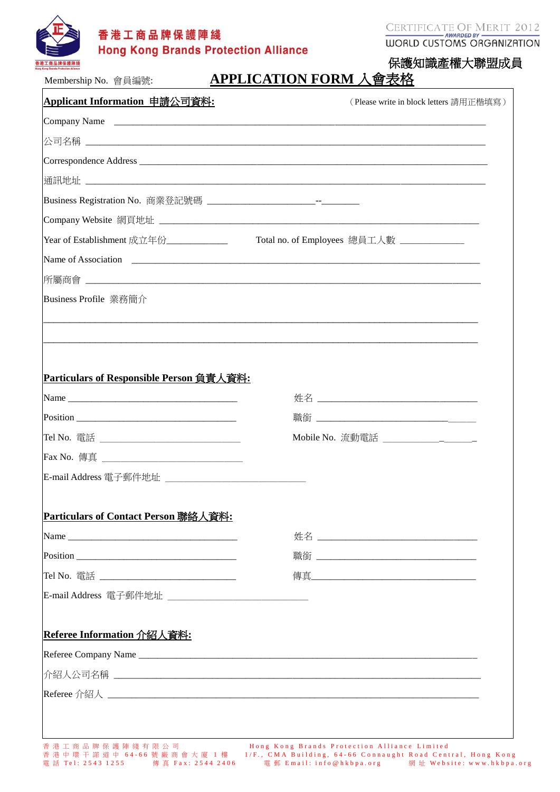

CERTIFICATE OF MERIT 2012

# 保護知識產權大聯盟成員 Membership No. 會員編號: **APPLICATION FORM** 入會表格

| Applicant Information 申請公司資料:                          | (Please write in block letters 請用正楷填寫)                                                                                                                                                                                         |
|--------------------------------------------------------|--------------------------------------------------------------------------------------------------------------------------------------------------------------------------------------------------------------------------------|
|                                                        |                                                                                                                                                                                                                                |
|                                                        |                                                                                                                                                                                                                                |
|                                                        |                                                                                                                                                                                                                                |
|                                                        |                                                                                                                                                                                                                                |
|                                                        |                                                                                                                                                                                                                                |
|                                                        |                                                                                                                                                                                                                                |
| Year of Establishment 成立年份_____________                | Total no. of Employees 總員工人數                                                                                                                                                                                                   |
|                                                        | Name of Association 2008 and 2008 and 2008 and 2008 and 2008 and 2008 and 2008 and 2008 and 2008 and 2008 and 2008 and 2008 and 2008 and 2008 and 2008 and 2008 and 2008 and 2008 and 2008 and 2008 and 2008 and 2008 and 2008 |
|                                                        |                                                                                                                                                                                                                                |
| Business Profile 業務簡介                                  |                                                                                                                                                                                                                                |
|                                                        |                                                                                                                                                                                                                                |
|                                                        |                                                                                                                                                                                                                                |
|                                                        |                                                                                                                                                                                                                                |
| Particulars of Responsible Person 負責人資料:               |                                                                                                                                                                                                                                |
|                                                        |                                                                                                                                                                                                                                |
|                                                        |                                                                                                                                                                                                                                |
| Tel No. 電話 _______________                             |                                                                                                                                                                                                                                |
|                                                        |                                                                                                                                                                                                                                |
| E-mail Address 電子郵件地址                                  |                                                                                                                                                                                                                                |
|                                                        |                                                                                                                                                                                                                                |
| Particulars of Contact Person 聯絡人資料:                   |                                                                                                                                                                                                                                |
| Name                                                   |                                                                                                                                                                                                                                |
|                                                        |                                                                                                                                                                                                                                |
|                                                        |                                                                                                                                                                                                                                |
|                                                        |                                                                                                                                                                                                                                |
| Tel No. 電話 _________________________________           |                                                                                                                                                                                                                                |
| E-mail Address 電子郵件地址 ________________________________ |                                                                                                                                                                                                                                |
|                                                        |                                                                                                                                                                                                                                |
| Referee Information 介紹人資料:                             |                                                                                                                                                                                                                                |
|                                                        |                                                                                                                                                                                                                                |
|                                                        |                                                                                                                                                                                                                                |
|                                                        |                                                                                                                                                                                                                                |